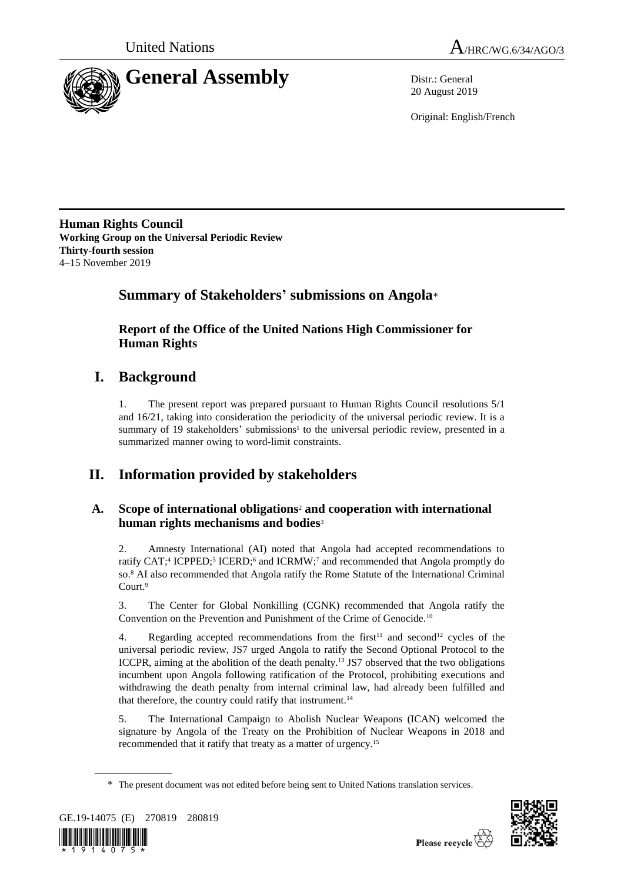



20 August 2019

Original: English/French

**Human Rights Council Working Group on the Universal Periodic Review Thirty-fourth session** 4–15 November 2019

## **Summary of Stakeholders' submissions on Angola**\*

**Report of the Office of the United Nations High Commissioner for Human Rights**

## **I. Background**

1. The present report was prepared pursuant to Human Rights Council resolutions 5/1 and 16/21, taking into consideration the periodicity of the universal periodic review. It is a summary of 19 stakeholders' submissions<sup>1</sup> to the universal periodic review, presented in a summarized manner owing to word-limit constraints.

# **II. Information provided by stakeholders**

## **A. Scope of international obligations**<sup>2</sup> **and cooperation with international human rights mechanisms and bodies**<sup>3</sup>

2. Amnesty International (AI) noted that Angola had accepted recommendations to ratify CAT;<sup>4</sup> ICPPED;<sup>5</sup> ICERD;<sup>6</sup> and ICRMW;<sup>7</sup> and recommended that Angola promptly do so.<sup>8</sup> AI also recommended that Angola ratify the Rome Statute of the International Criminal Court.<sup>9</sup>

3. The Center for Global Nonkilling (CGNK) recommended that Angola ratify the Convention on the Prevention and Punishment of the Crime of Genocide.<sup>10</sup>

4. Regarding accepted recommendations from the first<sup>11</sup> and second<sup>12</sup> cycles of the universal periodic review, JS7 urged Angola to ratify the Second Optional Protocol to the ICCPR, aiming at the abolition of the death penalty.<sup>13</sup> JS7 observed that the two obligations incumbent upon Angola following ratification of the Protocol, prohibiting executions and withdrawing the death penalty from internal criminal law, had already been fulfilled and that therefore, the country could ratify that instrument.<sup>14</sup>

5. The International Campaign to Abolish Nuclear Weapons (ICAN) welcomed the signature by Angola of the Treaty on the Prohibition of Nuclear Weapons in 2018 and recommended that it ratify that treaty as a matter of urgency.<sup>15</sup>

<sup>\*</sup> The present document was not edited before being sent to United Nations translation services.



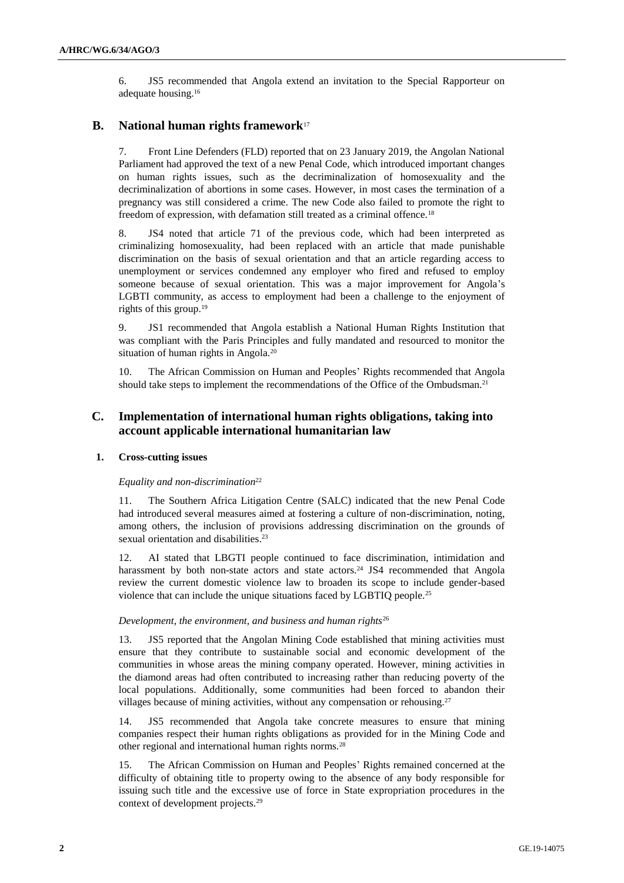6. JS5 recommended that Angola extend an invitation to the Special Rapporteur on adequate housing.<sup>16</sup>

## **B. National human rights framework**<sup>17</sup>

7. Front Line Defenders (FLD) reported that on 23 January 2019, the Angolan National Parliament had approved the text of a new Penal Code, which introduced important changes on human rights issues, such as the decriminalization of homosexuality and the decriminalization of abortions in some cases. However, in most cases the termination of a pregnancy was still considered a crime. The new Code also failed to promote the right to freedom of expression, with defamation still treated as a criminal offence.<sup>18</sup>

8. JS4 noted that article 71 of the previous code, which had been interpreted as criminalizing homosexuality, had been replaced with an article that made punishable discrimination on the basis of sexual orientation and that an article regarding access to unemployment or services condemned any employer who fired and refused to employ someone because of sexual orientation. This was a major improvement for Angola's LGBTI community, as access to employment had been a challenge to the enjoyment of rights of this group.<sup>19</sup>

9. JS1 recommended that Angola establish a National Human Rights Institution that was compliant with the Paris Principles and fully mandated and resourced to monitor the situation of human rights in Angola.<sup>20</sup>

10. The African Commission on Human and Peoples' Rights recommended that Angola should take steps to implement the recommendations of the Office of the Ombudsman.<sup>21</sup>

## **C. Implementation of international human rights obligations, taking into account applicable international humanitarian law**

#### **1. Cross-cutting issues**

#### *Equality and non-discrimination*<sup>22</sup>

11. The Southern Africa Litigation Centre (SALC) indicated that the new Penal Code had introduced several measures aimed at fostering a culture of non-discrimination, noting, among others, the inclusion of provisions addressing discrimination on the grounds of sexual orientation and disabilities.<sup>23</sup>

12. AI stated that LBGTI people continued to face discrimination, intimidation and harassment by both non-state actors and state actors.<sup>24</sup> JS4 recommended that Angola review the current domestic violence law to broaden its scope to include gender-based violence that can include the unique situations faced by LGBTIQ people.<sup>25</sup>

#### *Development, the environment, and business and human rights*<sup>26</sup>

13. JS5 reported that the Angolan Mining Code established that mining activities must ensure that they contribute to sustainable social and economic development of the communities in whose areas the mining company operated. However, mining activities in the diamond areas had often contributed to increasing rather than reducing poverty of the local populations. Additionally, some communities had been forced to abandon their villages because of mining activities, without any compensation or rehousing.<sup>27</sup>

14. JS5 recommended that Angola take concrete measures to ensure that mining companies respect their human rights obligations as provided for in the Mining Code and other regional and international human rights norms.<sup>28</sup>

15. The African Commission on Human and Peoples' Rights remained concerned at the difficulty of obtaining title to property owing to the absence of any body responsible for issuing such title and the excessive use of force in State expropriation procedures in the context of development projects.29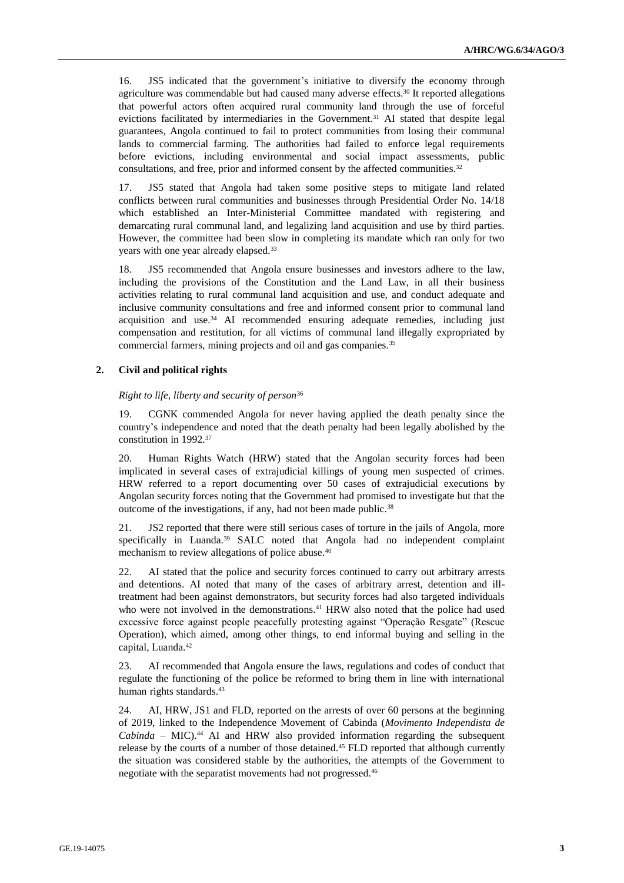16. JS5 indicated that the government's initiative to diversify the economy through agriculture was commendable but had caused many adverse effects.<sup>30</sup> It reported allegations that powerful actors often acquired rural community land through the use of forceful evictions facilitated by intermediaries in the Government.<sup>31</sup> AI stated that despite legal guarantees, Angola continued to fail to protect communities from losing their communal lands to commercial farming. The authorities had failed to enforce legal requirements before evictions, including environmental and social impact assessments, public consultations, and free, prior and informed consent by the affected communities.<sup>32</sup>

17. JS5 stated that Angola had taken some positive steps to mitigate land related conflicts between rural communities and businesses through Presidential Order No. 14/18 which established an Inter-Ministerial Committee mandated with registering and demarcating rural communal land, and legalizing land acquisition and use by third parties. However, the committee had been slow in completing its mandate which ran only for two years with one year already elapsed.<sup>33</sup>

18. JS5 recommended that Angola ensure businesses and investors adhere to the law, including the provisions of the Constitution and the Land Law, in all their business activities relating to rural communal land acquisition and use, and conduct adequate and inclusive community consultations and free and informed consent prior to communal land acquisition and use.<sup>34</sup> AI recommended ensuring adequate remedies, including just compensation and restitution, for all victims of communal land illegally expropriated by commercial farmers, mining projects and oil and gas companies.<sup>35</sup>

### **2. Civil and political rights**

*Right to life, liberty and security of person*<sup>36</sup>

19. CGNK commended Angola for never having applied the death penalty since the country's independence and noted that the death penalty had been legally abolished by the constitution in 1992.<sup>37</sup>

20. Human Rights Watch (HRW) stated that the Angolan security forces had been implicated in several cases of extrajudicial killings of young men suspected of crimes. HRW referred to a report documenting over 50 cases of extrajudicial executions by Angolan security forces noting that the Government had promised to investigate but that the outcome of the investigations, if any, had not been made public.<sup>38</sup>

21. JS2 reported that there were still serious cases of torture in the jails of Angola, more specifically in Luanda.<sup>39</sup> SALC noted that Angola had no independent complaint mechanism to review allegations of police abuse.<sup>40</sup>

22. AI stated that the police and security forces continued to carry out arbitrary arrests and detentions. AI noted that many of the cases of arbitrary arrest, detention and illtreatment had been against demonstrators, but security forces had also targeted individuals who were not involved in the demonstrations.<sup>41</sup> HRW also noted that the police had used excessive force against people peacefully protesting against "Operação Resgate" (Rescue Operation), which aimed, among other things, to end informal buying and selling in the capital, Luanda.<sup>42</sup>

23. AI recommended that Angola ensure the laws, regulations and codes of conduct that regulate the functioning of the police be reformed to bring them in line with international human rights standards.<sup>43</sup>

24. AI, HRW, JS1 and FLD, reported on the arrests of over 60 persons at the beginning of 2019, linked to the Independence Movement of Cabinda (*Movimento Independista de Cabinda* – MIC).<sup>44</sup> AI and HRW also provided information regarding the subsequent release by the courts of a number of those detained.<sup>45</sup> FLD reported that although currently the situation was considered stable by the authorities, the attempts of the Government to negotiate with the separatist movements had not progressed.46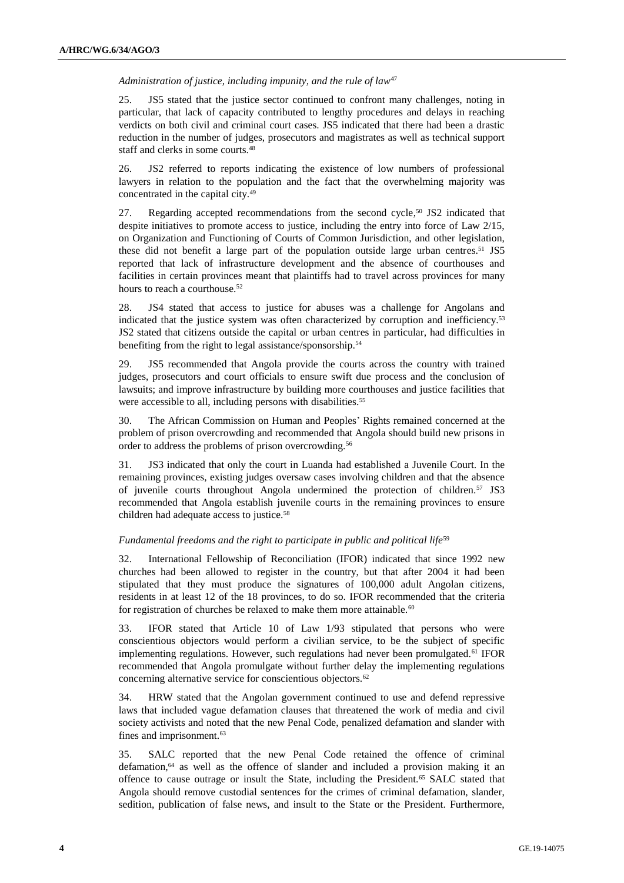*Administration of justice, including impunity, and the rule of law*<sup>47</sup>

25. JS5 stated that the justice sector continued to confront many challenges, noting in particular, that lack of capacity contributed to lengthy procedures and delays in reaching verdicts on both civil and criminal court cases. JS5 indicated that there had been a drastic reduction in the number of judges, prosecutors and magistrates as well as technical support staff and clerks in some courts.<sup>48</sup>

26. JS2 referred to reports indicating the existence of low numbers of professional lawyers in relation to the population and the fact that the overwhelming majority was concentrated in the capital city.<sup>49</sup>

27. Regarding accepted recommendations from the second cycle,<sup>50</sup> JS2 indicated that despite initiatives to promote access to justice, including the entry into force of Law 2/15, on Organization and Functioning of Courts of Common Jurisdiction, and other legislation, these did not benefit a large part of the population outside large urban centres.<sup>51</sup> JS5 reported that lack of infrastructure development and the absence of courthouses and facilities in certain provinces meant that plaintiffs had to travel across provinces for many hours to reach a courthouse.<sup>52</sup>

28. JS4 stated that access to justice for abuses was a challenge for Angolans and indicated that the justice system was often characterized by corruption and inefficiency.<sup>53</sup> JS2 stated that citizens outside the capital or urban centres in particular, had difficulties in benefiting from the right to legal assistance/sponsorship.<sup>54</sup>

29. JS5 recommended that Angola provide the courts across the country with trained judges, prosecutors and court officials to ensure swift due process and the conclusion of lawsuits; and improve infrastructure by building more courthouses and justice facilities that were accessible to all, including persons with disabilities.<sup>55</sup>

30. The African Commission on Human and Peoples' Rights remained concerned at the problem of prison overcrowding and recommended that Angola should build new prisons in order to address the problems of prison overcrowding.<sup>56</sup>

31. JS3 indicated that only the court in Luanda had established a Juvenile Court. In the remaining provinces, existing judges oversaw cases involving children and that the absence of juvenile courts throughout Angola undermined the protection of children.<sup>57</sup> JS3 recommended that Angola establish juvenile courts in the remaining provinces to ensure children had adequate access to justice.<sup>58</sup>

### *Fundamental freedoms and the right to participate in public and political life*<sup>59</sup>

32. International Fellowship of Reconciliation (IFOR) indicated that since 1992 new churches had been allowed to register in the country, but that after 2004 it had been stipulated that they must produce the signatures of 100,000 adult Angolan citizens, residents in at least 12 of the 18 provinces, to do so. IFOR recommended that the criteria for registration of churches be relaxed to make them more attainable. $60$ 

33. IFOR stated that Article 10 of Law 1/93 stipulated that persons who were conscientious objectors would perform a civilian service, to be the subject of specific implementing regulations. However, such regulations had never been promulgated.<sup>61</sup> IFOR recommended that Angola promulgate without further delay the implementing regulations concerning alternative service for conscientious objectors.<sup>62</sup>

34. HRW stated that the Angolan government continued to use and defend repressive laws that included vague defamation clauses that threatened the work of media and civil society activists and noted that the new Penal Code, penalized defamation and slander with fines and imprisonment.<sup>63</sup>

35. SALC reported that the new Penal Code retained the offence of criminal defamation, <sup>64</sup> as well as the offence of slander and included a provision making it an offence to cause outrage or insult the State, including the President.<sup>65</sup> SALC stated that Angola should remove custodial sentences for the crimes of criminal defamation, slander, sedition, publication of false news, and insult to the State or the President. Furthermore,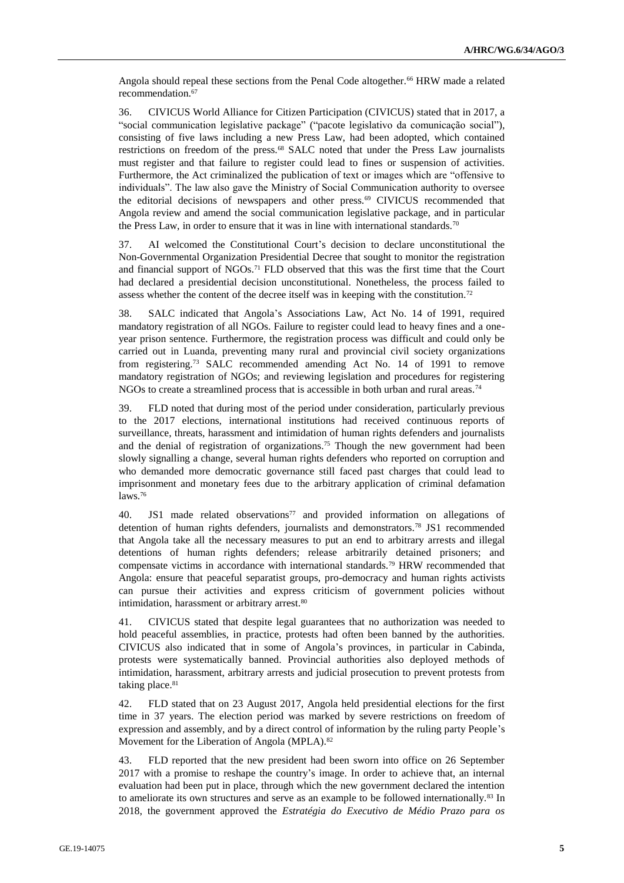Angola should repeal these sections from the Penal Code altogether.<sup>66</sup> HRW made a related recommendation.<sup>67</sup>

36. CIVICUS World Alliance for Citizen Participation (CIVICUS) stated that in 2017, a "social communication legislative package" ("pacote legislativo da comunicação social"), consisting of five laws including a new Press Law, had been adopted, which contained restrictions on freedom of the press.<sup>68</sup> SALC noted that under the Press Law journalists must register and that failure to register could lead to fines or suspension of activities. Furthermore, the Act criminalized the publication of text or images which are "offensive to individuals". The law also gave the Ministry of Social Communication authority to oversee the editorial decisions of newspapers and other press.<sup>69</sup> CIVICUS recommended that Angola review and amend the social communication legislative package, and in particular the Press Law, in order to ensure that it was in line with international standards.<sup>70</sup>

37. AI welcomed the Constitutional Court's decision to declare unconstitutional the Non-Governmental Organization Presidential Decree that sought to monitor the registration and financial support of NGOs.<sup>71</sup> FLD observed that this was the first time that the Court had declared a presidential decision unconstitutional. Nonetheless, the process failed to assess whether the content of the decree itself was in keeping with the constitution.<sup>72</sup>

38. SALC indicated that Angola's Associations Law, Act No. 14 of 1991, required mandatory registration of all NGOs. Failure to register could lead to heavy fines and a oneyear prison sentence. Furthermore, the registration process was difficult and could only be carried out in Luanda, preventing many rural and provincial civil society organizations from registering.<sup>73</sup> SALC recommended amending Act No. 14 of 1991 to remove mandatory registration of NGOs; and reviewing legislation and procedures for registering NGOs to create a streamlined process that is accessible in both urban and rural areas.<sup>74</sup>

39. FLD noted that during most of the period under consideration, particularly previous to the 2017 elections, international institutions had received continuous reports of surveillance, threats, harassment and intimidation of human rights defenders and journalists and the denial of registration of organizations.<sup>75</sup> Though the new government had been slowly signalling a change, several human rights defenders who reported on corruption and who demanded more democratic governance still faced past charges that could lead to imprisonment and monetary fees due to the arbitrary application of criminal defamation laws.<sup>76</sup>

40. JS1 made related observations<sup>77</sup> and provided information on allegations of detention of human rights defenders, journalists and demonstrators.<sup>78</sup> JS1 recommended that Angola take all the necessary measures to put an end to arbitrary arrests and illegal detentions of human rights defenders; release arbitrarily detained prisoners; and compensate victims in accordance with international standards.<sup>79</sup> HRW recommended that Angola: ensure that peaceful separatist groups, pro-democracy and human rights activists can pursue their activities and express criticism of government policies without intimidation, harassment or arbitrary arrest.<sup>80</sup>

41. CIVICUS stated that despite legal guarantees that no authorization was needed to hold peaceful assemblies, in practice, protests had often been banned by the authorities. CIVICUS also indicated that in some of Angola's provinces, in particular in Cabinda, protests were systematically banned. Provincial authorities also deployed methods of intimidation, harassment, arbitrary arrests and judicial prosecution to prevent protests from taking place.<sup>81</sup>

42. FLD stated that on 23 August 2017, Angola held presidential elections for the first time in 37 years. The election period was marked by severe restrictions on freedom of expression and assembly, and by a direct control of information by the ruling party People's Movement for the Liberation of Angola (MPLA).<sup>82</sup>

43. FLD reported that the new president had been sworn into office on 26 September 2017 with a promise to reshape the country's image. In order to achieve that, an internal evaluation had been put in place, through which the new government declared the intention to ameliorate its own structures and serve as an example to be followed internationally.<sup>83</sup> In 2018, the government approved the *Estratégia do Executivo de Médio Prazo para os*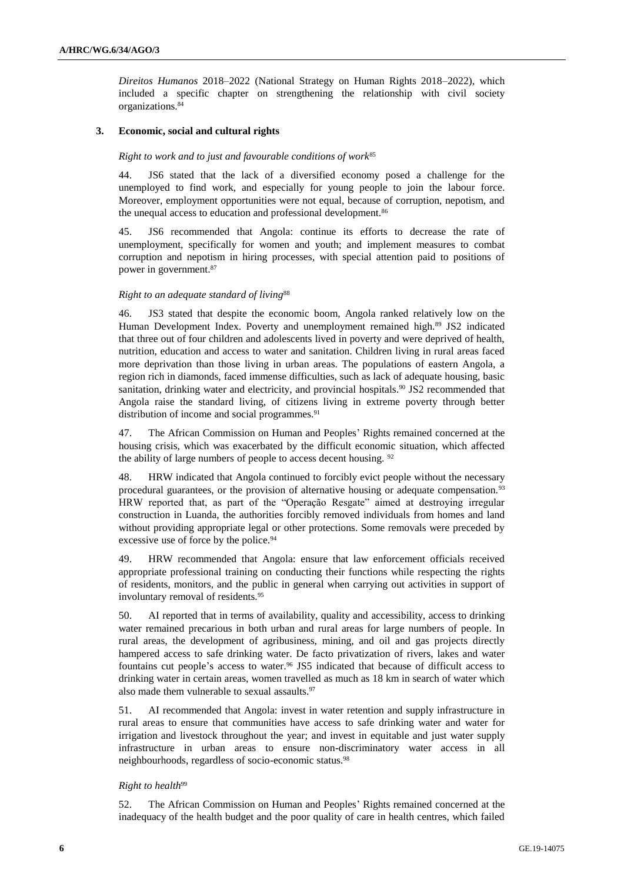*Direitos Humanos* 2018–2022 (National Strategy on Human Rights 2018–2022), which included a specific chapter on strengthening the relationship with civil society organizations.<sup>84</sup>

### **3. Economic, social and cultural rights**

#### *Right to work and to just and favourable conditions of work*<sup>85</sup>

44. JS6 stated that the lack of a diversified economy posed a challenge for the unemployed to find work, and especially for young people to join the labour force. Moreover, employment opportunities were not equal, because of corruption, nepotism, and the unequal access to education and professional development.<sup>86</sup>

45. JS6 recommended that Angola: continue its efforts to decrease the rate of unemployment, specifically for women and youth; and implement measures to combat corruption and nepotism in hiring processes, with special attention paid to positions of power in government.<sup>87</sup>

#### *Right to an adequate standard of living*<sup>88</sup>

46. JS3 stated that despite the economic boom, Angola ranked relatively low on the Human Development Index. Poverty and unemployment remained high.<sup>89</sup> JS2 indicated that three out of four children and adolescents lived in poverty and were deprived of health, nutrition, education and access to water and sanitation. Children living in rural areas faced more deprivation than those living in urban areas. The populations of eastern Angola, a region rich in diamonds, faced immense difficulties, such as lack of adequate housing, basic sanitation, drinking water and electricity, and provincial hospitals.<sup>90</sup> JS2 recommended that Angola raise the standard living, of citizens living in extreme poverty through better distribution of income and social programmes.<sup>91</sup>

47. The African Commission on Human and Peoples' Rights remained concerned at the housing crisis, which was exacerbated by the difficult economic situation, which affected the ability of large numbers of people to access decent housing. <sup>92</sup>

48. HRW indicated that Angola continued to forcibly evict people without the necessary procedural guarantees, or the provision of alternative housing or adequate compensation.<sup>93</sup> HRW reported that, as part of the "Operação Resgate" aimed at destroying irregular construction in Luanda, the authorities forcibly removed individuals from homes and land without providing appropriate legal or other protections. Some removals were preceded by excessive use of force by the police.<sup>94</sup>

49. HRW recommended that Angola: ensure that law enforcement officials received appropriate professional training on conducting their functions while respecting the rights of residents, monitors, and the public in general when carrying out activities in support of involuntary removal of residents.<sup>95</sup>

50. AI reported that in terms of availability, quality and accessibility, access to drinking water remained precarious in both urban and rural areas for large numbers of people. In rural areas, the development of agribusiness, mining, and oil and gas projects directly hampered access to safe drinking water. De facto privatization of rivers, lakes and water fountains cut people's access to water.<sup>96</sup> JS5 indicated that because of difficult access to drinking water in certain areas, women travelled as much as 18 km in search of water which also made them vulnerable to sexual assaults.<sup>97</sup>

51. AI recommended that Angola: invest in water retention and supply infrastructure in rural areas to ensure that communities have access to safe drinking water and water for irrigation and livestock throughout the year; and invest in equitable and just water supply infrastructure in urban areas to ensure non-discriminatory water access in all neighbourhoods, regardless of socio-economic status.<sup>98</sup>

#### *Right to health*<sup>99</sup>

52. The African Commission on Human and Peoples' Rights remained concerned at the inadequacy of the health budget and the poor quality of care in health centres, which failed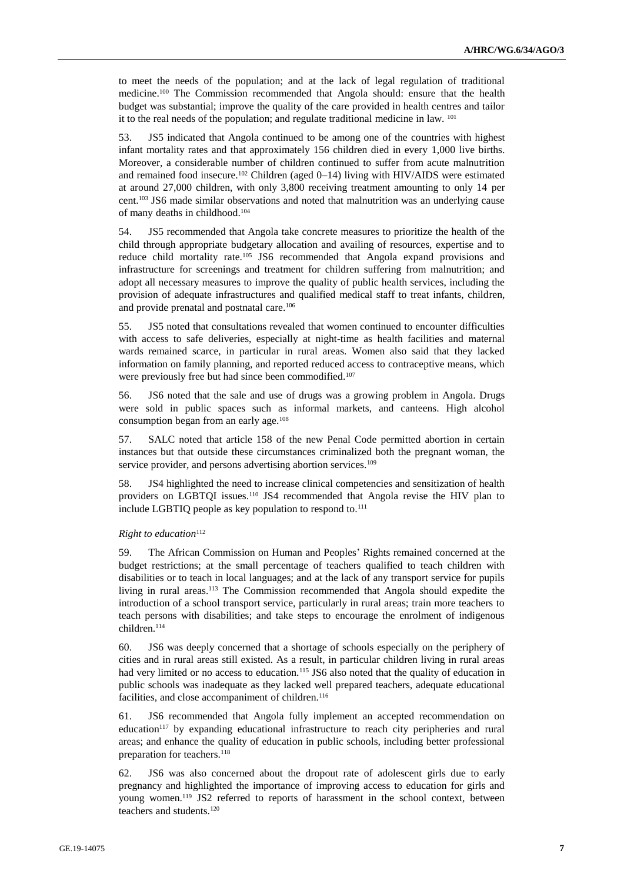to meet the needs of the population; and at the lack of legal regulation of traditional medicine. <sup>100</sup> The Commission recommended that Angola should: ensure that the health budget was substantial; improve the quality of the care provided in health centres and tailor it to the real needs of the population; and regulate traditional medicine in law. <sup>101</sup>

53. JS5 indicated that Angola continued to be among one of the countries with highest infant mortality rates and that approximately 156 children died in every 1,000 live births. Moreover, a considerable number of children continued to suffer from acute malnutrition and remained food insecure.<sup>102</sup> Children (aged  $0-14$ ) living with HIV/AIDS were estimated at around 27,000 children, with only 3,800 receiving treatment amounting to only 14 per cent. <sup>103</sup> JS6 made similar observations and noted that malnutrition was an underlying cause of many deaths in childhood.<sup>104</sup>

54. JS5 recommended that Angola take concrete measures to prioritize the health of the child through appropriate budgetary allocation and availing of resources, expertise and to reduce child mortality rate.<sup>105</sup> JS6 recommended that Angola expand provisions and infrastructure for screenings and treatment for children suffering from malnutrition; and adopt all necessary measures to improve the quality of public health services, including the provision of adequate infrastructures and qualified medical staff to treat infants, children, and provide prenatal and postnatal care.<sup>106</sup>

55. JS5 noted that consultations revealed that women continued to encounter difficulties with access to safe deliveries, especially at night-time as health facilities and maternal wards remained scarce, in particular in rural areas. Women also said that they lacked information on family planning, and reported reduced access to contraceptive means, which were previously free but had since been commodified.<sup>107</sup>

56. JS6 noted that the sale and use of drugs was a growing problem in Angola. Drugs were sold in public spaces such as informal markets, and canteens. High alcohol consumption began from an early age.<sup>108</sup>

57. SALC noted that article 158 of the new Penal Code permitted abortion in certain instances but that outside these circumstances criminalized both the pregnant woman, the service provider, and persons advertising abortion services.<sup>109</sup>

58. JS4 highlighted the need to increase clinical competencies and sensitization of health providers on LGBTQI issues.<sup>110</sup> JS4 recommended that Angola revise the HIV plan to include LGBTIQ people as key population to respond to.<sup>111</sup>

#### *Right to education*<sup>112</sup>

59. The African Commission on Human and Peoples' Rights remained concerned at the budget restrictions; at the small percentage of teachers qualified to teach children with disabilities or to teach in local languages; and at the lack of any transport service for pupils living in rural areas.<sup>113</sup> The Commission recommended that Angola should expedite the introduction of a school transport service, particularly in rural areas; train more teachers to teach persons with disabilities; and take steps to encourage the enrolment of indigenous children.<sup>114</sup>

60. JS6 was deeply concerned that a shortage of schools especially on the periphery of cities and in rural areas still existed. As a result, in particular children living in rural areas had very limited or no access to education.<sup>115</sup> JS6 also noted that the quality of education in public schools was inadequate as they lacked well prepared teachers, adequate educational facilities, and close accompaniment of children.<sup>116</sup>

61. JS6 recommended that Angola fully implement an accepted recommendation on education<sup>117</sup> by expanding educational infrastructure to reach city peripheries and rural areas; and enhance the quality of education in public schools, including better professional preparation for teachers.<sup>118</sup>

62. JS6 was also concerned about the dropout rate of adolescent girls due to early pregnancy and highlighted the importance of improving access to education for girls and young women.<sup>119</sup> JS2 referred to reports of harassment in the school context, between teachers and students.120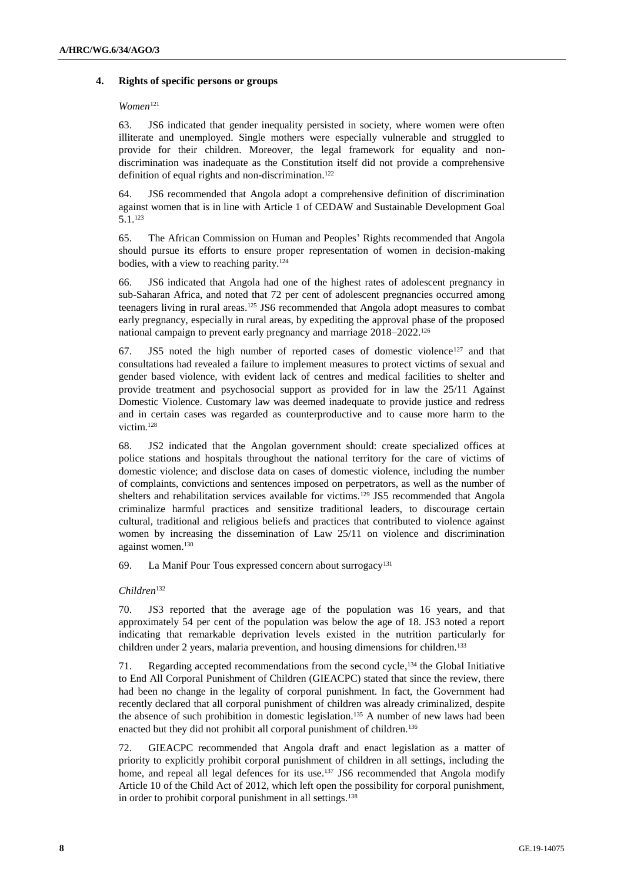#### **4. Rights of specific persons or groups**

#### *Women*<sup>121</sup>

63. JS6 indicated that gender inequality persisted in society, where women were often illiterate and unemployed. Single mothers were especially vulnerable and struggled to provide for their children. Moreover, the legal framework for equality and nondiscrimination was inadequate as the Constitution itself did not provide a comprehensive definition of equal rights and non-discrimination.<sup>122</sup>

64. JS6 recommended that Angola adopt a comprehensive definition of discrimination against women that is in line with Article 1 of CEDAW and Sustainable Development Goal 5.1.<sup>123</sup>

65. The African Commission on Human and Peoples' Rights recommended that Angola should pursue its efforts to ensure proper representation of women in decision-making bodies, with a view to reaching parity.<sup>124</sup>

66. JS6 indicated that Angola had one of the highest rates of adolescent pregnancy in sub-Saharan Africa, and noted that 72 per cent of adolescent pregnancies occurred among teenagers living in rural areas.<sup>125</sup> JS6 recommended that Angola adopt measures to combat early pregnancy, especially in rural areas, by expediting the approval phase of the proposed national campaign to prevent early pregnancy and marriage 2018–2022.<sup>126</sup>

67. JS5 noted the high number of reported cases of domestic violence<sup>127</sup> and that consultations had revealed a failure to implement measures to protect victims of sexual and gender based violence, with evident lack of centres and medical facilities to shelter and provide treatment and psychosocial support as provided for in law the 25/11 Against Domestic Violence. Customary law was deemed inadequate to provide justice and redress and in certain cases was regarded as counterproductive and to cause more harm to the victim.<sup>128</sup>

68. JS2 indicated that the Angolan government should: create specialized offices at police stations and hospitals throughout the national territory for the care of victims of domestic violence; and disclose data on cases of domestic violence, including the number of complaints, convictions and sentences imposed on perpetrators, as well as the number of shelters and rehabilitation services available for victims.<sup>129</sup> JS5 recommended that Angola criminalize harmful practices and sensitize traditional leaders, to discourage certain cultural, traditional and religious beliefs and practices that contributed to violence against women by increasing the dissemination of Law 25/11 on violence and discrimination against women.<sup>130</sup>

69. La Manif Pour Tous expressed concern about surrogacy<sup>131</sup>

#### *Children*<sup>132</sup>

70. JS3 reported that the average age of the population was 16 years, and that approximately 54 per cent of the population was below the age of 18. JS3 noted a report indicating that remarkable deprivation levels existed in the nutrition particularly for children under 2 years, malaria prevention, and housing dimensions for children.<sup>133</sup>

71. Regarding accepted recommendations from the second cycle, <sup>134</sup> the Global Initiative to End All Corporal Punishment of Children (GIEACPC) stated that since the review, there had been no change in the legality of corporal punishment. In fact, the Government had recently declared that all corporal punishment of children was already criminalized, despite the absence of such prohibition in domestic legislation.<sup>135</sup> A number of new laws had been enacted but they did not prohibit all corporal punishment of children.<sup>136</sup>

72. GIEACPC recommended that Angola draft and enact legislation as a matter of priority to explicitly prohibit corporal punishment of children in all settings, including the home, and repeal all legal defences for its use.<sup>137</sup> JS6 recommended that Angola modify Article 10 of the Child Act of 2012, which left open the possibility for corporal punishment, in order to prohibit corporal punishment in all settings.<sup>138</sup>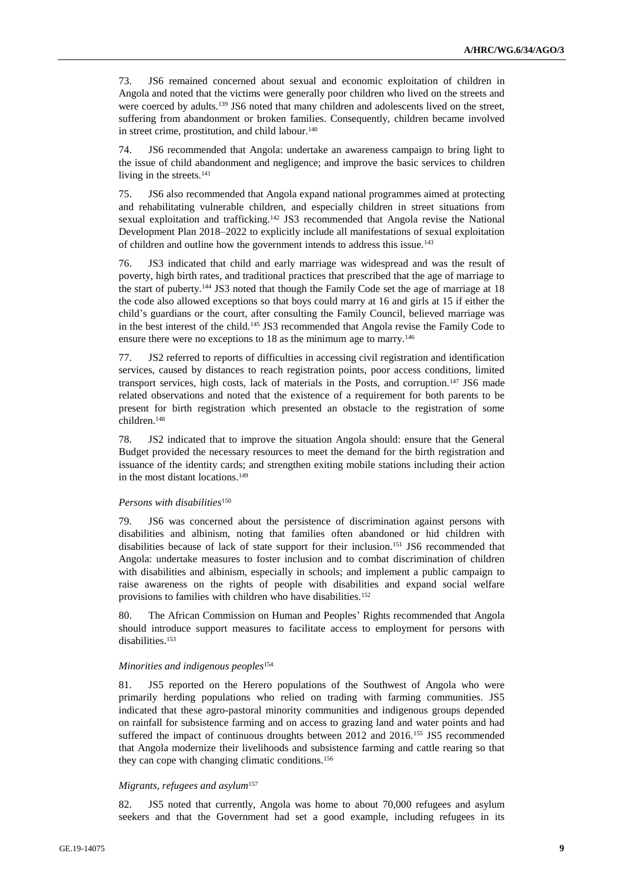73. JS6 remained concerned about sexual and economic exploitation of children in Angola and noted that the victims were generally poor children who lived on the streets and were coerced by adults.<sup>139</sup> JS6 noted that many children and adolescents lived on the street, suffering from abandonment or broken families. Consequently, children became involved in street crime, prostitution, and child labour. 140

74. JS6 recommended that Angola: undertake an awareness campaign to bring light to the issue of child abandonment and negligence; and improve the basic services to children living in the streets.<sup>141</sup>

75. JS6 also recommended that Angola expand national programmes aimed at protecting and rehabilitating vulnerable children, and especially children in street situations from sexual exploitation and trafficking.<sup>142</sup> JS3 recommended that Angola revise the National Development Plan 2018–2022 to explicitly include all manifestations of sexual exploitation of children and outline how the government intends to address this issue.<sup>143</sup>

76. JS3 indicated that child and early marriage was widespread and was the result of poverty, high birth rates, and traditional practices that prescribed that the age of marriage to the start of puberty.<sup>144</sup> JS3 noted that though the Family Code set the age of marriage at 18 the code also allowed exceptions so that boys could marry at 16 and girls at 15 if either the child's guardians or the court, after consulting the Family Council, believed marriage was in the best interest of the child.<sup>145</sup> JS3 recommended that Angola revise the Family Code to ensure there were no exceptions to 18 as the minimum age to marry.<sup>146</sup>

77. JS2 referred to reports of difficulties in accessing civil registration and identification services, caused by distances to reach registration points, poor access conditions, limited transport services, high costs, lack of materials in the Posts, and corruption.<sup>147</sup> JS6 made related observations and noted that the existence of a requirement for both parents to be present for birth registration which presented an obstacle to the registration of some children.<sup>148</sup>

78. JS2 indicated that to improve the situation Angola should: ensure that the General Budget provided the necessary resources to meet the demand for the birth registration and issuance of the identity cards; and strengthen exiting mobile stations including their action in the most distant locations.<sup>149</sup>

#### *Persons with disabilities*<sup>150</sup>

79. JS6 was concerned about the persistence of discrimination against persons with disabilities and albinism, noting that families often abandoned or hid children with disabilities because of lack of state support for their inclusion.<sup>151</sup> JS6 recommended that Angola: undertake measures to foster inclusion and to combat discrimination of children with disabilities and albinism, especially in schools; and implement a public campaign to raise awareness on the rights of people with disabilities and expand social welfare provisions to families with children who have disabilities.<sup>152</sup>

80. The African Commission on Human and Peoples' Rights recommended that Angola should introduce support measures to facilitate access to employment for persons with disabilities.<sup>153</sup>

#### *Minorities and indigenous peoples*<sup>154</sup>

81. JS5 reported on the Herero populations of the Southwest of Angola who were primarily herding populations who relied on trading with farming communities. JS5 indicated that these agro-pastoral minority communities and indigenous groups depended on rainfall for subsistence farming and on access to grazing land and water points and had suffered the impact of continuous droughts between 2012 and 2016.<sup>155</sup> JS5 recommended that Angola modernize their livelihoods and subsistence farming and cattle rearing so that they can cope with changing climatic conditions.<sup>156</sup>

#### *Migrants, refugees and asylum*<sup>157</sup>

82. JS5 noted that currently, Angola was home to about 70,000 refugees and asylum seekers and that the Government had set a good example, including refugees in its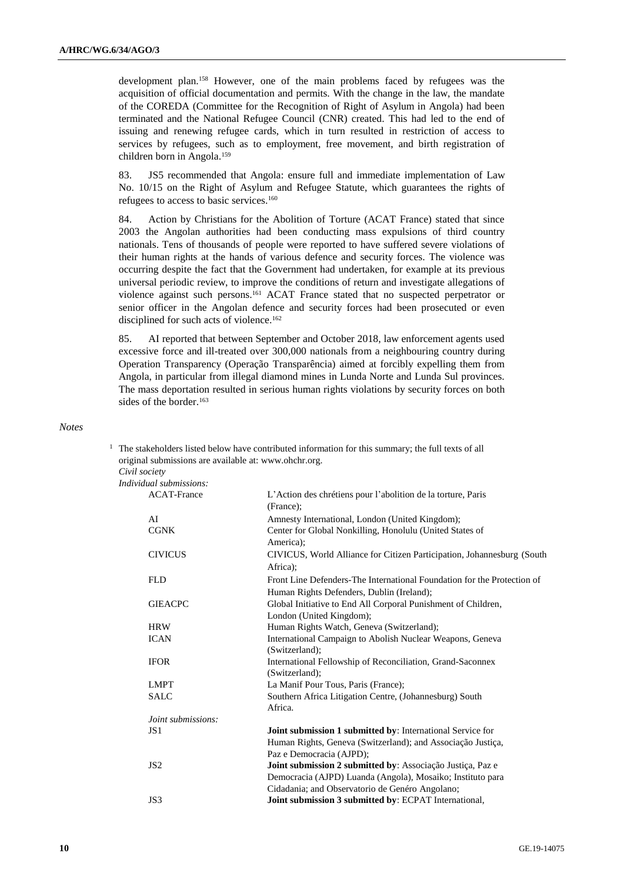development plan.<sup>158</sup> However, one of the main problems faced by refugees was the acquisition of official documentation and permits. With the change in the law, the mandate of the COREDA (Committee for the Recognition of Right of Asylum in Angola) had been terminated and the National Refugee Council (CNR) created. This had led to the end of issuing and renewing refugee cards, which in turn resulted in restriction of access to services by refugees, such as to employment, free movement, and birth registration of children born in Angola.<sup>159</sup>

83. JS5 recommended that Angola: ensure full and immediate implementation of Law No. 10/15 on the Right of Asylum and Refugee Statute, which guarantees the rights of refugees to access to basic services.<sup>160</sup>

84. Action by Christians for the Abolition of Torture (ACAT France) stated that since 2003 the Angolan authorities had been conducting mass expulsions of third country nationals. Tens of thousands of people were reported to have suffered severe violations of their human rights at the hands of various defence and security forces. The violence was occurring despite the fact that the Government had undertaken, for example at its previous universal periodic review, to improve the conditions of return and investigate allegations of violence against such persons.<sup>161</sup> ACAT France stated that no suspected perpetrator or senior officer in the Angolan defence and security forces had been prosecuted or even disciplined for such acts of violence.<sup>162</sup>

85. AI reported that between September and October 2018, law enforcement agents used excessive force and ill-treated over 300,000 nationals from a neighbouring country during Operation Transparency (Operação Transparência) aimed at forcibly expelling them from Angola, in particular from illegal diamond mines in Lunda Norte and Lunda Sul provinces. The mass deportation resulted in serious human rights violations by security forces on both sides of the border.<sup>163</sup>

*Notes*

<sup>1</sup> The stakeholders listed below have contributed information for this summary; the full texts of all original submissions are available at: [www.ohchr.org.](http://www.ohchr.org/) *Civil society*

| Individual submissions:   |                                                                                    |
|---------------------------|------------------------------------------------------------------------------------|
| <b>ACAT-France</b>        | L'Action des chrétiens pour l'abolition de la torture, Paris<br>(France);          |
| AI                        | Amnesty International, London (United Kingdom);                                    |
| <b>CGNK</b>               | Center for Global Nonkilling, Honolulu (United States of<br>America);              |
| <b>CIVICUS</b>            | CIVICUS, World Alliance for Citizen Participation, Johannesburg (South<br>Africa): |
| <b>FLD</b>                | Front Line Defenders-The International Foundation for the Protection of            |
|                           | Human Rights Defenders, Dublin (Ireland);                                          |
| <b>GIEACPC</b>            | Global Initiative to End All Corporal Punishment of Children,                      |
|                           | London (United Kingdom);                                                           |
| <b>HRW</b>                | Human Rights Watch, Geneva (Switzerland);                                          |
| <b>ICAN</b>               | International Campaign to Abolish Nuclear Weapons, Geneva                          |
|                           | (Switzerland);                                                                     |
| <b>IFOR</b>               | International Fellowship of Reconciliation, Grand-Saconnex<br>(Switzerland);       |
| <b>LMPT</b>               | La Manif Pour Tous, Paris (France);                                                |
| <b>SALC</b>               | Southern Africa Litigation Centre, (Johannesburg) South<br>Africa.                 |
| <i>Joint submissions:</i> |                                                                                    |
| JS <sub>1</sub>           | Joint submission 1 submitted by: International Service for                         |
|                           | Human Rights, Geneva (Switzerland); and Associação Justiça,                        |
|                           | Paz e Democracia (AJPD);                                                           |
| JS <sub>2</sub>           | Joint submission 2 submitted by: Associação Justiça, Paz e                         |
|                           | Democracia (AJPD) Luanda (Angola), Mosaiko; Instituto para                         |
|                           | Cidadania; and Observatorio de Genéro Angolano;                                    |
| JS3                       | Joint submission 3 submitted by: ECPAT International,                              |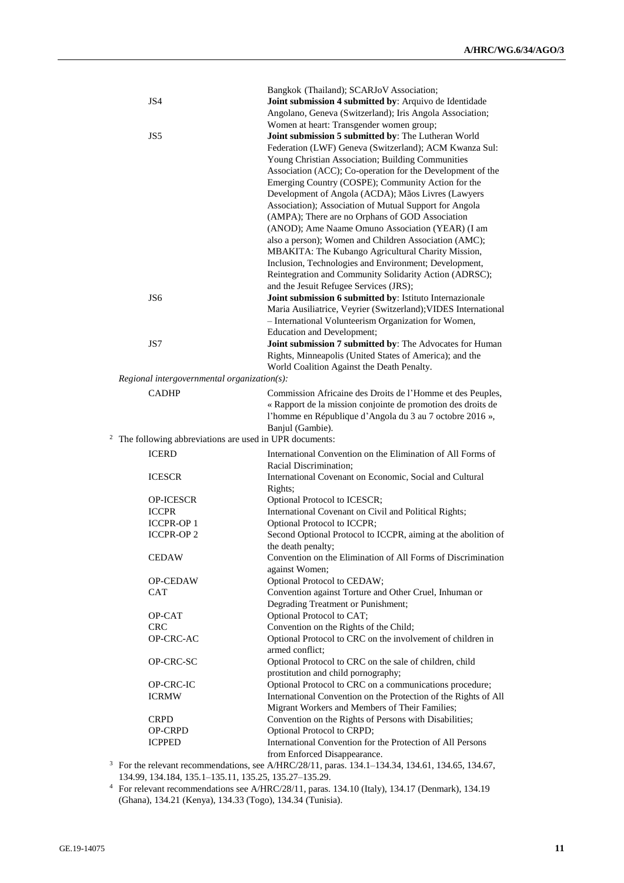|                                             | JS4                                                    | Bangkok (Thailand); SCARJoV Association;<br>Joint submission 4 submitted by: Arquivo de Identidade<br>Angolano, Geneva (Switzerland); Iris Angola Association;                                                                                                                                                                                                                                                                                                                                                                                                                                                                                                                                                                                                                                                                                                                                                                                                                                                              |
|---------------------------------------------|--------------------------------------------------------|-----------------------------------------------------------------------------------------------------------------------------------------------------------------------------------------------------------------------------------------------------------------------------------------------------------------------------------------------------------------------------------------------------------------------------------------------------------------------------------------------------------------------------------------------------------------------------------------------------------------------------------------------------------------------------------------------------------------------------------------------------------------------------------------------------------------------------------------------------------------------------------------------------------------------------------------------------------------------------------------------------------------------------|
|                                             | JS5<br>JS6                                             | Women at heart: Transgender women group;<br>Joint submission 5 submitted by: The Lutheran World<br>Federation (LWF) Geneva (Switzerland); ACM Kwanza Sul:<br>Young Christian Association; Building Communities<br>Association (ACC); Co-operation for the Development of the<br>Emerging Country (COSPE); Community Action for the<br>Development of Angola (ACDA); Mãos Livres (Lawyers<br>Association); Association of Mutual Support for Angola<br>(AMPA); There are no Orphans of GOD Association<br>(ANOD); Ame Naame Omuno Association (YEAR) (I am<br>also a person); Women and Children Association (AMC);<br>MBAKITA: The Kubango Agricultural Charity Mission,<br>Inclusion, Technologies and Environment; Development,<br>Reintegration and Community Solidarity Action (ADRSC);<br>and the Jesuit Refugee Services (JRS);<br>Joint submission 6 submitted by: Istituto Internazionale<br>Maria Ausiliatrice, Veyrier (Switzerland); VIDES International<br>- International Volunteerism Organization for Women, |
|                                             |                                                        | Education and Development;                                                                                                                                                                                                                                                                                                                                                                                                                                                                                                                                                                                                                                                                                                                                                                                                                                                                                                                                                                                                  |
|                                             | JS7                                                    | Joint submission 7 submitted by: The Advocates for Human<br>Rights, Minneapolis (United States of America); and the<br>World Coalition Against the Death Penalty.                                                                                                                                                                                                                                                                                                                                                                                                                                                                                                                                                                                                                                                                                                                                                                                                                                                           |
| Regional intergovernmental organization(s): |                                                        |                                                                                                                                                                                                                                                                                                                                                                                                                                                                                                                                                                                                                                                                                                                                                                                                                                                                                                                                                                                                                             |
|                                             | <b>CADHP</b>                                           | Commission Africaine des Droits de l'Homme et des Peuples,<br>« Rapport de la mission conjointe de promotion des droits de<br>l'homme en République d'Angola du 3 au 7 octobre 2016 »,                                                                                                                                                                                                                                                                                                                                                                                                                                                                                                                                                                                                                                                                                                                                                                                                                                      |
|                                             | The following abbreviations are used in UPR documents: | Banjul (Gambie).                                                                                                                                                                                                                                                                                                                                                                                                                                                                                                                                                                                                                                                                                                                                                                                                                                                                                                                                                                                                            |
|                                             | <b>ICERD</b>                                           | International Convention on the Elimination of All Forms of                                                                                                                                                                                                                                                                                                                                                                                                                                                                                                                                                                                                                                                                                                                                                                                                                                                                                                                                                                 |
|                                             |                                                        | Racial Discrimination;                                                                                                                                                                                                                                                                                                                                                                                                                                                                                                                                                                                                                                                                                                                                                                                                                                                                                                                                                                                                      |
|                                             | <b>ICESCR</b>                                          | International Covenant on Economic, Social and Cultural<br>Rights;                                                                                                                                                                                                                                                                                                                                                                                                                                                                                                                                                                                                                                                                                                                                                                                                                                                                                                                                                          |
|                                             | <b>OP-ICESCR</b>                                       | Optional Protocol to ICESCR;                                                                                                                                                                                                                                                                                                                                                                                                                                                                                                                                                                                                                                                                                                                                                                                                                                                                                                                                                                                                |
|                                             | <b>ICCPR</b>                                           | International Covenant on Civil and Political Rights;                                                                                                                                                                                                                                                                                                                                                                                                                                                                                                                                                                                                                                                                                                                                                                                                                                                                                                                                                                       |
|                                             | <b>ICCPR-OP1</b>                                       | Optional Protocol to ICCPR;                                                                                                                                                                                                                                                                                                                                                                                                                                                                                                                                                                                                                                                                                                                                                                                                                                                                                                                                                                                                 |
|                                             | <b>ICCPR-OP2</b>                                       | Second Optional Protocol to ICCPR, aiming at the abolition of<br>the death penalty;                                                                                                                                                                                                                                                                                                                                                                                                                                                                                                                                                                                                                                                                                                                                                                                                                                                                                                                                         |
|                                             | <b>CEDAW</b>                                           | Convention on the Elimination of All Forms of Discrimination<br>against Women;                                                                                                                                                                                                                                                                                                                                                                                                                                                                                                                                                                                                                                                                                                                                                                                                                                                                                                                                              |
|                                             | OP-CEDAW                                               | Optional Protocol to CEDAW;                                                                                                                                                                                                                                                                                                                                                                                                                                                                                                                                                                                                                                                                                                                                                                                                                                                                                                                                                                                                 |
|                                             | CAT                                                    | Convention against Torture and Other Cruel, Inhuman or<br>Degrading Treatment or Punishment;                                                                                                                                                                                                                                                                                                                                                                                                                                                                                                                                                                                                                                                                                                                                                                                                                                                                                                                                |
|                                             | OP-CAT                                                 | Optional Protocol to CAT;                                                                                                                                                                                                                                                                                                                                                                                                                                                                                                                                                                                                                                                                                                                                                                                                                                                                                                                                                                                                   |
|                                             | <b>CRC</b>                                             | Convention on the Rights of the Child;                                                                                                                                                                                                                                                                                                                                                                                                                                                                                                                                                                                                                                                                                                                                                                                                                                                                                                                                                                                      |
|                                             | OP-CRC-AC                                              | Optional Protocol to CRC on the involvement of children in<br>armed conflict;                                                                                                                                                                                                                                                                                                                                                                                                                                                                                                                                                                                                                                                                                                                                                                                                                                                                                                                                               |
|                                             | OP-CRC-SC                                              | Optional Protocol to CRC on the sale of children, child<br>prostitution and child pornography;                                                                                                                                                                                                                                                                                                                                                                                                                                                                                                                                                                                                                                                                                                                                                                                                                                                                                                                              |
|                                             | OP-CRC-IC                                              | Optional Protocol to CRC on a communications procedure;                                                                                                                                                                                                                                                                                                                                                                                                                                                                                                                                                                                                                                                                                                                                                                                                                                                                                                                                                                     |
|                                             | <b>ICRMW</b>                                           | International Convention on the Protection of the Rights of All<br>Migrant Workers and Members of Their Families;                                                                                                                                                                                                                                                                                                                                                                                                                                                                                                                                                                                                                                                                                                                                                                                                                                                                                                           |
|                                             | <b>CRPD</b>                                            | Convention on the Rights of Persons with Disabilities;                                                                                                                                                                                                                                                                                                                                                                                                                                                                                                                                                                                                                                                                                                                                                                                                                                                                                                                                                                      |
|                                             | OP-CRPD                                                | Optional Protocol to CRPD;                                                                                                                                                                                                                                                                                                                                                                                                                                                                                                                                                                                                                                                                                                                                                                                                                                                                                                                                                                                                  |
|                                             | <b>ICPPED</b>                                          | International Convention for the Protection of All Persons                                                                                                                                                                                                                                                                                                                                                                                                                                                                                                                                                                                                                                                                                                                                                                                                                                                                                                                                                                  |
|                                             |                                                        | from Enforced Disappearance.<br><sup>3</sup> For the relevant recommendations, see A/HRC/28/11, paras. 134.1-134.34, 134.61, 134.65, 134.67,                                                                                                                                                                                                                                                                                                                                                                                                                                                                                                                                                                                                                                                                                                                                                                                                                                                                                |
|                                             |                                                        |                                                                                                                                                                                                                                                                                                                                                                                                                                                                                                                                                                                                                                                                                                                                                                                                                                                                                                                                                                                                                             |

134.99, 134.184, 135.1–135.11, 135.25, 135.27–135.29.

<sup>4</sup> For relevant recommendations see A/HRC/28/11, paras. 134.10 (Italy), 134.17 (Denmark), 134.19 (Ghana), 134.21 (Kenya), 134.33 (Togo), 134.34 (Tunisia).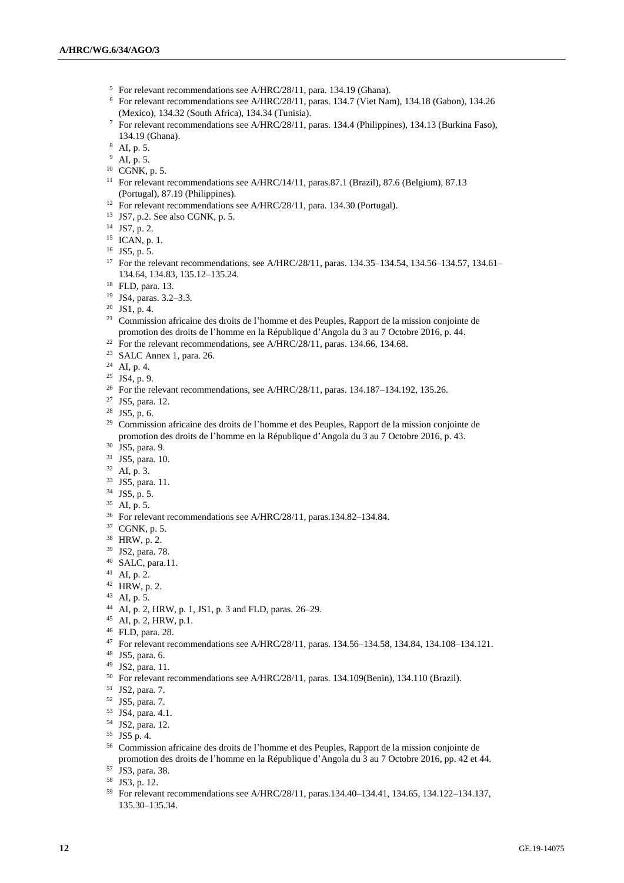- For relevant recommendations see A/HRC/28/11, para. 134.19 (Ghana).
- For relevant recommendations see A/HRC/28/11, paras. 134.7 (Viet Nam), 134.18 (Gabon), 134.26 (Mexico), 134.32 (South Africa), 134.34 (Tunisia).
- For relevant recommendations see A/HRC/28/11, paras. 134.4 (Philippines), 134.13 (Burkina Faso), 134.19 (Ghana).
- AI, p. 5.
- AI, p. 5.
- CGNK, p. 5.
- <sup>11</sup> For relevant recommendations see A/HRC/14/11, paras.87.1 (Brazil), 87.6 (Belgium), 87.13 (Portugal), 87.19 (Philippines).
- <sup>12</sup> For relevant recommendations see A/HRC/28/11, para. 134.30 (Portugal).
- JS7, p.2. See also CGNK, p. 5.
- JS7, p. 2.
- $^{15}$  ICAN, p. 1.
- JS5, p. 5.
- <sup>17</sup> For the relevant recommendations, see A/HRC/28/11, paras. 134.35–134.54, 134.56–134.57, 134.61– 134.64, 134.83, 135.12–135.24.
- FLD, para. 13.
- JS4, paras. 3.2–3.3.
- JS1, p. 4.
- <sup>21</sup> Commission africaine des droits de l'homme et des Peuples, Rapport de la mission conjointe de promotion des droits de l'homme en la République d'Angola du 3 au 7 Octobre 2016, p. 44.
- <sup>22</sup> For the relevant recommendations, see A/HRC/28/11, paras. 134.66, 134.68.
- SALC Annex 1, para. 26.
- AI, p. 4.
- JS4, p. 9.
- <sup>26</sup> For the relevant recommendations, see A/HRC/28/11, paras. 134.187-134.192, 135.26.
- JS5, para. 12.
- JS5, p. 6.
- <sup>29</sup> Commission africaine des droits de l'homme et des Peuples, Rapport de la mission conjointe de promotion des droits de l'homme en la République d'Angola du 3 au 7 Octobre 2016, p. 43.
- JS5, para. 9.
- JS5, para. 10.
- AI, p. 3.
- JS5, para. 11.
- JS5, p. 5.
- AI, p. 5.
- For relevant recommendations see A/HRC/28/11, paras.134.82–134.84.
- CGNK, p. 5.
- HRW, p. 2.
- JS2, para. 78.
- SALC, para.11.
- AI, p. 2.
- HRW, p. 2.
- AI, p. 5.
- AI, p. 2, HRW, p. 1, JS1, p. 3 and FLD, paras. 26–29.
- AI, p. 2, HRW, p.1.
- FLD, para. 28.
- For relevant recommendations see A/HRC/28/11, paras. 134.56–134.58, 134.84, 134.108–134.121.
- JS5, para. 6.
- JS2, para. 11.
- For relevant recommendations see A/HRC/28/11, paras. 134.109(Benin), 134.110 (Brazil).
- JS2, para. 7.
- JS5, para. 7.
- JS4, para. 4.1.
- JS2, para. 12.
- JS5 p. 4.
- Commission africaine des droits de l'homme et des Peuples, Rapport de la mission conjointe de promotion des droits de l'homme en la République d'Angola du 3 au 7 Octobre 2016, pp. 42 et 44.
- JS3, para. 38.
- JS3, p. 12.
- For relevant recommendations see A/HRC/28/11, paras.134.40–134.41, 134.65, 134.122–134.137, 135.30–135.34.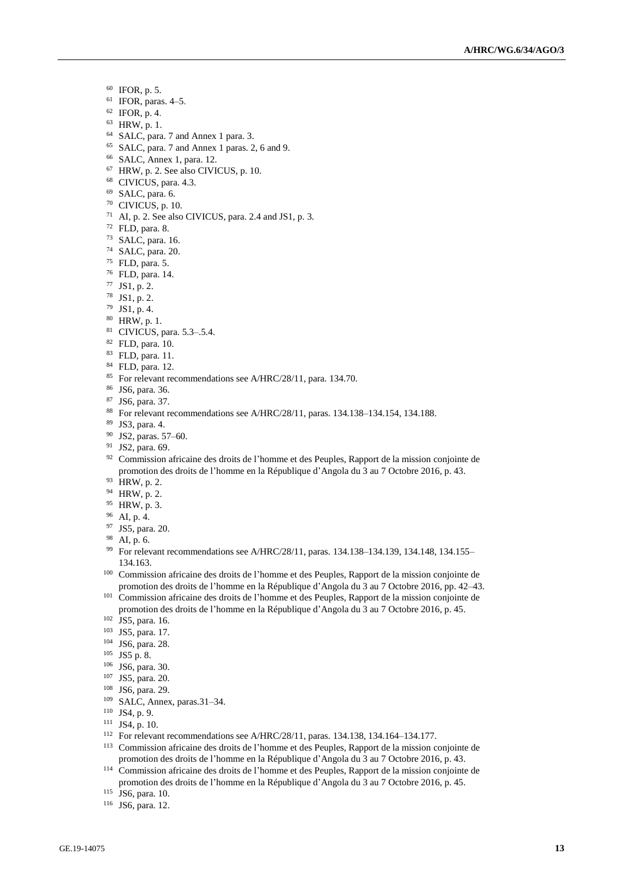- IFOR, p. 5.
- IFOR, paras. 4-5.
- IFOR, p. 4.
- HRW, p. 1.
- SALC, para. 7 and Annex 1 para. 3.
- SALC, para. 7 and Annex 1 paras. 2, 6 and 9.
- SALC, Annex 1, para. 12.
- HRW, p. 2. See also CIVICUS, p. 10.
- CIVICUS, para. 4.3.
- SALC, para. 6.
- CIVICUS, p. 10.
- AI, p. 2. See also CIVICUS, para. 2.4 and JS1, p. 3.
- FLD, para. 8.
- SALC, para. 16.
- SALC, para. 20.
- FLD, para. 5.
- FLD, para. 14.
- JS1, p. 2.
- JS1, p. 2.
- JS1, p. 4.
- HRW, p. 1.
- CIVICUS, para. 5.3–.5.4.
- FLD, para. 10.
- FLD, para. 11.
- FLD, para. 12.
- <sup>85</sup> For relevant recommendations see A/HRC/28/11, para. 134.70.
- JS6, para. 36.
- JS6, para. 37.
- For relevant recommendations see A/HRC/28/11, paras. 134.138–134.154, 134.188.
- JS3, para. 4.
- JS2, paras. 57–60.
- <sup>91</sup> JS2, para. 69.
- <sup>92</sup> Commission africaine des droits de l'homme et des Peuples, Rapport de la mission conjointe de promotion des droits de l'homme en la République d'Angola du 3 au 7 Octobre 2016, p. 43.
- HRW, p. 2.
- HRW, p. 2.
- HRW, p. 3.
- AI, p. 4.
- JS5, para. 20.
- AI, p. 6.
- For relevant recommendations see A/HRC/28/11, paras. 134.138–134.139, 134.148, 134.155– 134.163.
- Commission africaine des droits de l'homme et des Peuples, Rapport de la mission conjointe de promotion des droits de l'homme en la République d'Angola du 3 au 7 Octobre 2016, pp. 42–43.
- <sup>101</sup> Commission africaine des droits de l'homme et des Peuples, Rapport de la mission conjointe de promotion des droits de l'homme en la République d'Angola du 3 au 7 Octobre 2016, p. 45.
- JS5, para. 16.
- JS5, para. 17.
- JS6, para. 28.
- JS5 p. 8.
- JS6, para. 30.
- JS5, para. 20.
- JS6, para. 29.
- SALC, Annex, paras.31–34.
- JS4, p. 9.
- JS4, p. 10.
- For relevant recommendations see A/HRC/28/11, paras. 134.138, 134.164–134.177.
- Commission africaine des droits de l'homme et des Peuples, Rapport de la mission conjointe de promotion des droits de l'homme en la République d'Angola du 3 au 7 Octobre 2016, p. 43.
- Commission africaine des droits de l'homme et des Peuples, Rapport de la mission conjointe de promotion des droits de l'homme en la République d'Angola du 3 au 7 Octobre 2016, p. 45.
- JS6, para. 10.
- JS6, para. 12.